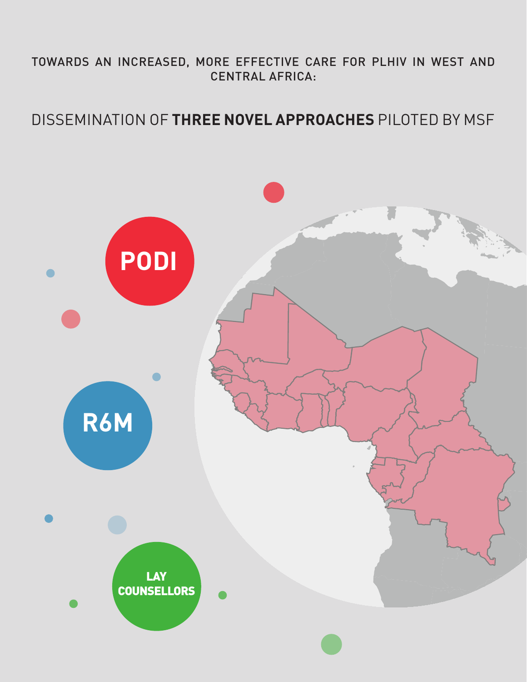### TOWARDS AN INCREASED, MORE EFFECTIVE CARE FOR PLHIV IN WEST AND CENTRAL AFRICA:

### DISSEMINATION OF **THREE NOVEL APPROACHES** PILOTED BY MSF

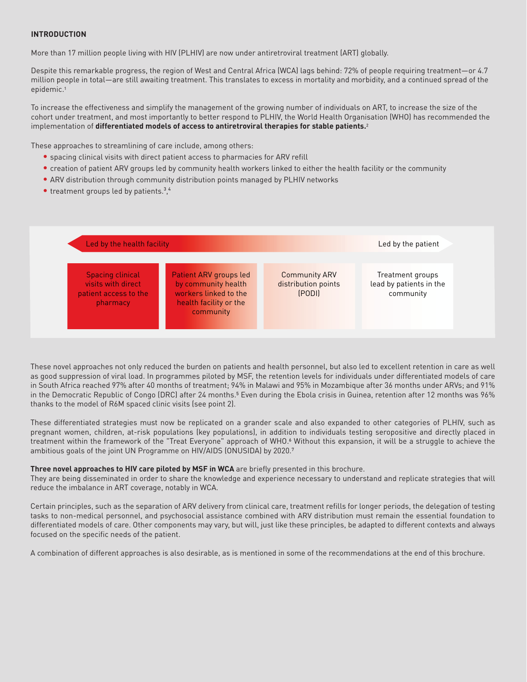### **INTRODUCTION**

More than 17 million people living with HIV (PLHIV) are now under antiretroviral treatment (ART) globally.

Despite this remarkable progress, the region of West and Central Africa (WCA) lags behind: 72% of people requiring treatment—or 4.7 million people in total—are still awaiting treatment. This translates to excess in mortality and morbidity, and a continued spread of the epidemic.<sup>1</sup>

To increase the effectiveness and simplify the management of the growing number of individuals on ART, to increase the size of the cohort under treatment, and most importantly to better respond to PLHIV, the World Health Organisation (WHO) has recommended the implementation of **differentiated models of access to antiretroviral therapies for stable patients.**2

These approaches to streamlining of care include, among others:

- spacing clinical visits with direct patient access to pharmacies for ARV refill
- creation of patient ARV groups led by community health workers linked to either the health facility or the community
- ARV distribution through community distribution points managed by PLHIV networks
- $\bullet$  treatment groups led by patients.<sup>3</sup>,4

| Led by the health facility                                                         |                                                                                                                      | Led by the patient                                    |                                                          |
|------------------------------------------------------------------------------------|----------------------------------------------------------------------------------------------------------------------|-------------------------------------------------------|----------------------------------------------------------|
| <b>Spacing clinical</b><br>visits with direct<br>patient access to the<br>pharmacy | <b>Patient ARV groups led</b><br>by community health<br>workers linked to the<br>health facility or the<br>community | <b>Community ARV</b><br>distribution points<br>(PODI) | Treatment groups<br>lead by patients in the<br>community |

These novel approaches not only reduced the burden on patients and health personnel, but also led to excellent retention in care as well as good suppression of viral load. In programmes piloted by MSF, the retention levels for individuals under differentiated models of care in South Africa reached 97% after 40 months of treatment; 94% in Malawi and 95% in Mozambique after 36 months under ARVs; and 91% in the Democratic Republic of Congo (DRC) after 24 months.<sup>5</sup> Even during the Ebola crisis in Guinea, retention after 12 months was 96% thanks to the model of R6M spaced clinic visits (see point 2).

These differentiated strategies must now be replicated on a grander scale and also expanded to other categories of PLHIV, such as pregnant women, children, at-risk populations (key populations), in addition to individuals testing seropositive and directly placed in treatment within the framework of the "Treat Everyone" approach of WHO.<sup>6</sup> Without this expansion, it will be a struggle to achieve the ambitious goals of the joint UN Programme on HIV/AIDS (ONUSIDA) by 2020.<sup>7</sup>

### **Three novel approaches to HIV care piloted by MSF in WCA** are briefly presented in this brochure.

They are being disseminated in order to share the knowledge and experience necessary to understand and replicate strategies that will reduce the imbalance in ART coverage, notably in WCA.

Certain principles, such as the separation of ARV delivery from clinical care, treatment refills for longer periods, the delegation of testing tasks to non-medical personnel, and psychosocial assistance combined with ARV distribution must remain the essential foundation to differentiated models of care. Other components may vary, but will, just like these principles, be adapted to different contexts and always focused on the specific needs of the patient.

A combination of different approaches is also desirable, as is mentioned in some of the recommendations at the end of this brochure.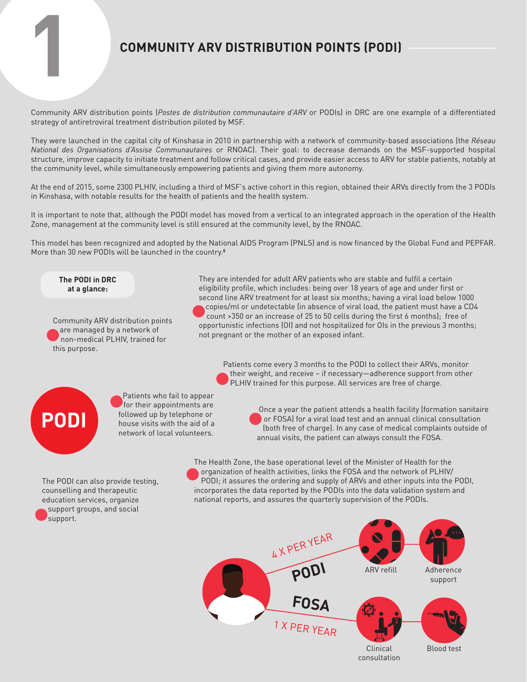# **1 COMMUNITY ARV DISTRIBUTION POINTS (PODI)**

Community ARV distribution points (*Postes de distribution communautaire d'ARV* or PODIs) in DRC are one example of a differentiated strategy of antiretroviral treatment distribution piloted by MSF.

They were launched in the capital city of Kinshasa in 2010 in partnership with a network of community-based associations (the *Réseau National des Organisations d'Assise Communautaires* or RNOAC). Their goal: to decrease demands on the MSF-supported hospital structure, improve capacity to initiate treatment and follow critical cases, and provide easier access to ARV for stable patients, notably at the community level, while simultaneously empowering patients and giving them more autonomy.

At the end of 2015, some 2300 PLHIV, including a third of MSF's active cohort in this region, obtained their ARVs directly from the 3 PODIs in Kinshasa, with notable results for the health of patients and the health system.

It is important to note that, although the PODI model has moved from a vertical to an integrated approach in the operation of the Health Zone, management at the community level is still ensured at the community level, by the RNOAC.

This model has been recognized and adopted by the National AIDS Program (PNLS) and is now financed by the Global Fund and PEPFAR. More than 30 new PODIs will be launched in the country.<sup>8</sup>

**The PODI in DRC at a glance:**

Community ARV distribution points are managed by a network of non-medical PLHIV, trained for this purpose.

They are intended for adult ARV patients who are stable and fulfil a certain eligibility profile, which includes: being over 18 years of age and under first or second line ARV treatment for at least six months; having a viral load below 1000 copies/ml or undetectable (in absence of viral load, the patient must have a CD4 count >350 or an increase of 25 to 50 cells during the first 6 months); free of opportunistic infections (OI) and not hospitalized for OIs in the previous 3 months; not pregnant or the mother of an exposed infant.

Patients come every 3 months to the PODI to collect their ARVs, monitor their weight, and receive – if necessary—adherence support from other PLHIV trained for this purpose. All services are free of charge.



Patients who fail to appear for their appointments are followed up by telephone or house visits with the aid of a network of local volunteers.

 Once a year the patient attends a health facility (formation sanitaire or FOSA) for a viral load test and an annual clinical consultation (both free of charge). In any case of medical complaints outside of annual visits, the patient can always consult the FOSA.

The PODI can also provide testing, counselling and therapeutic education services, organize support groups, and social support.

The Health Zone, the base operational level of the Minister of Health for the organization of health activities, links the FOSA and the network of PLHIV/ PODI; it assures the ordering and supply of ARVs and other inputs into the PODI, incorporates the data reported by the PODIs into the data validation system and national reports, and assures the quarterly supervision of the PODIs.

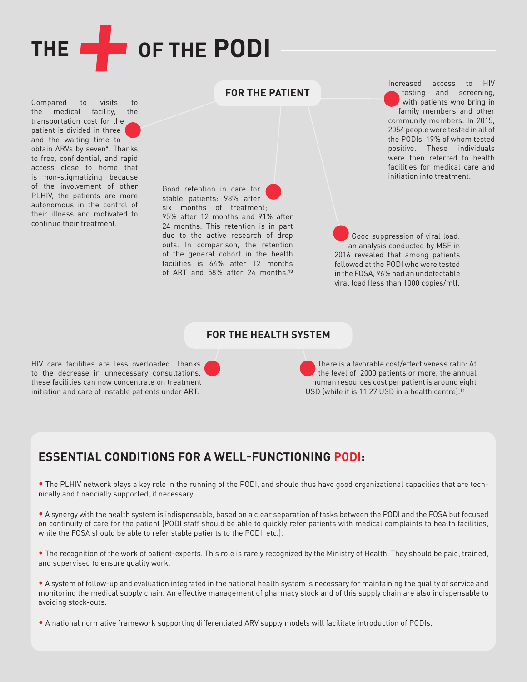

Compared to visits to the medical facility, the transportation cost for the patient is divided in three and the waiting time to obtain ARVs by seven<sup>9</sup>. Thanks to free, confidential, and rapid access close to home that is non-stigmatizing because of the involvement of other PLHIV, the patients are more autonomous in the control of their illness and motivated to continue their treatment.

Good retention in care for stable patients: 98% after six months of treatment; 95% after 12 months and 91% after 24 months. This retention is in part due to the active research of drop outs. In comparison, the retention of the general cohort in the health facilities is 64% after 12 months of ART and  $58\%$  after 24 months.<sup>10</sup>

Increased access to HIV testing and screening, with patients who bring in family members and other community members. In 2015, 2054 people were tested in all of the PODIs, 19% of whom tested positive. These individuals were then referred to health facilities for medical care and initiation into treatment.

Good suppression of viral load: an analysis conducted by MSF in 2016 revealed that among patients followed at the PODI who were tested in the FOSA, 96% had an undetectable viral load (less than 1000 copies/ml).

### **FOR THE HEALTH SYSTEM**

**FOR THE PATIENT**

HIV care facilities are less overloaded. Thanks to the decrease in unnecessary consultations, these facilities can now concentrate on treatment initiation and care of instable patients under ART.

There is a favorable cost/effectiveness ratio: At the level of 2000 patients or more, the annual human resources cost per patient is around eight USD (while it is 11.27 USD in a health centre).<sup>11</sup>

### **ESSENTIAL CONDITIONS FOR A WELL-FUNCTIONING PODI:**

• The PLHIV network plays a key role in the running of the PODI, and should thus have good organizational capacities that are technically and financially supported, if necessary.

• A synergy with the health system is indispensable, based on a clear separation of tasks between the PODI and the FOSA but focused on continuity of care for the patient (PODI staff should be able to quickly refer patients with medical complaints to health facilities, while the FOSA should be able to refer stable patients to the PODI, etc.).

• The recognition of the work of patient-experts. This role is rarely recognized by the Ministry of Health. They should be paid, trained, and supervised to ensure quality work.

• A system of follow-up and evaluation integrated in the national health system is necessary for maintaining the quality of service and monitoring the medical supply chain. An effective management of pharmacy stock and of this supply chain are also indispensable to avoiding stock-outs.

• A national normative framework supporting differentiated ARV supply models will facilitate introduction of PODIs.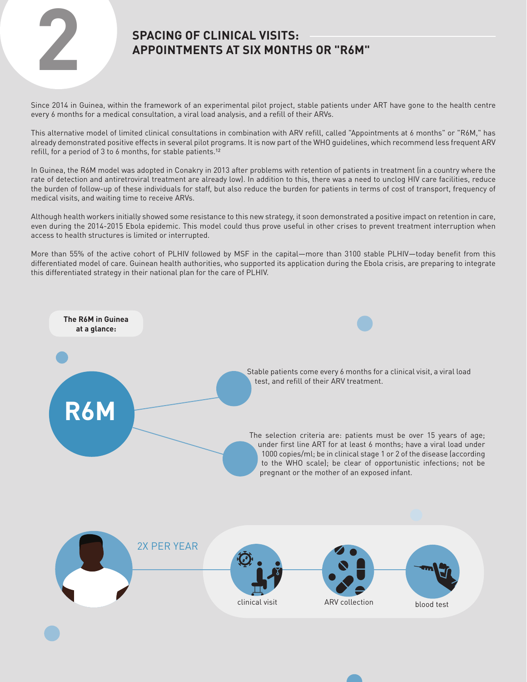

## **APPOINTMENTS AT SIX MONTHS OR "R6M"**

Since 2014 in Guinea, within the framework of an experimental pilot project, stable patients under ART have gone to the health centre every 6 months for a medical consultation, a viral load analysis, and a refill of their ARVs.

This alternative model of limited clinical consultations in combination with ARV refill, called "Appointments at 6 months" or "R6M," has already demonstrated positive effects in several pilot programs. It is now part of the WHO guidelines, which recommend less frequent ARV refill, for a period of 3 to 6 months, for stable patients.<sup>12</sup>

In Guinea, the R6M model was adopted in Conakry in 2013 after problems with retention of patients in treatment (in a country where the rate of detection and antiretroviral treatment are already low). In addition to this, there was a need to unclog HIV care facilities, reduce the burden of follow-up of these individuals for staff, but also reduce the burden for patients in terms of cost of transport, frequency of medical visits, and waiting time to receive ARVs.

Although health workers initially showed some resistance to this new strategy, it soon demonstrated a positive impact on retention in care, even during the 2014-2015 Ebola epidemic. This model could thus prove useful in other crises to prevent treatment interruption when access to health structures is limited or interrupted.

More than 55% of the active cohort of PLHIV followed by MSF in the capital—more than 3100 stable PLHIV—today benefit from this differentiated model of care. Guinean health authorities, who supported its application during the Ebola crisis, are preparing to integrate this differentiated strategy in their national plan for the care of PLHIV.

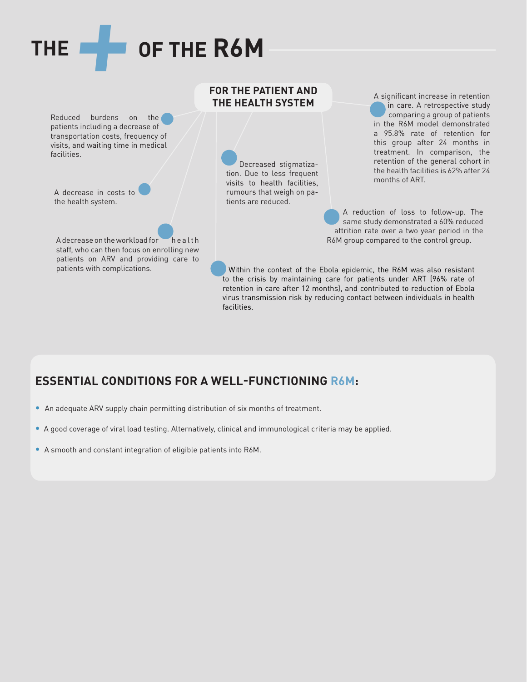# **THE+OF THE R6M**

Reduced burdens on the patients including a decrease of transportation costs, frequency of visits, and waiting time in medical facilities.

A decrease in costs to the health system.

A decrease on the workload for health health R6M group compared to the control group. staff, who can then focus on enrolling new patients on ARV and providing care to

### **FOR THE PATIENT AND THE HEALTH SYSTEM**

Decreased stigmatization. Due to less frequent visits to health facilities, rumours that weigh on patients are reduced.

A significant increase in retention in care. A retrospective study comparing a group of patients in the R6M model demonstrated a 95.8% rate of retention for this group after 24 months in treatment. In comparison, the retention of the general cohort in the health facilities is 62% after 24 months of ART.

A reduction of loss to follow-up. The same study demonstrated a 60% reduced attrition rate over a two year period in the

patients with complications. Within the context of the Ebola epidemic, the R6M was also resistant to the crisis by maintaining care for patients under ART (96% rate of retention in care after 12 months), and contributed to reduction of Ebola virus transmission risk by reducing contact between individuals in health facilities.

### **ESSENTIAL CONDITIONS FOR A WELL-FUNCTIONING R6M:**

- An adequate ARV supply chain permitting distribution of six months of treatment.
- A good coverage of viral load testing. Alternatively, clinical and immunological criteria may be applied.
- A smooth and constant integration of eligible patients into R6M.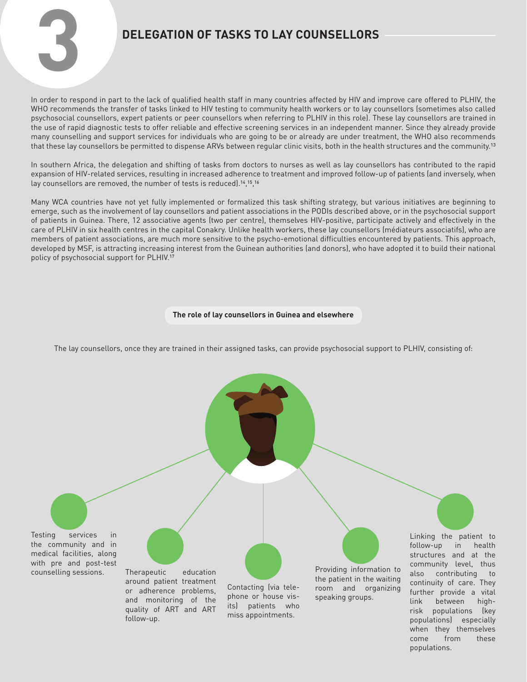

In order to respond in part to the lack of qualified health staff in many countries affected by HIV and improve care offered to PLHIV, the WHO recommends the transfer of tasks linked to HIV testing to community health workers or to lay counsellors (sometimes also called psychosocial counsellors, expert patients or peer counsellors when referring to PLHIV in this role). These lay counsellors are trained in the use of rapid diagnostic tests to offer reliable and effective screening services in an independent manner. Since they already provide many counselling and support services for individuals who are going to be or already are under treatment, the WHO also recommends that these lay counsellors be permitted to dispense ARVs between regular clinic visits, both in the health structures and the community.<sup>13</sup>

In southern Africa, the delegation and shifting of tasks from doctors to nurses as well as lay counsellors has contributed to the rapid expansion of HIV-related services, resulting in increased adherence to treatment and improved follow-up of patients (and inversely, when lay counsellors are removed, the number of tests is reduced).<sup>14</sup>,<sup>15</sup>,<sup>16</sup>

Many WCA countries have not yet fully implemented or formalized this task shifting strategy, but various initiatives are beginning to emerge, such as the involvement of lay counsellors and patient associations in the PODIs described above, or in the psychosocial support of patients in Guinea. There, 12 associative agents (two per centre), themselves HIV-positive, participate actively and effectively in the care of PLHIV in six health centres in the capital Conakry. Unlike health workers, these lay counsellors (médiateurs associatifs), who are members of patient associations, are much more sensitive to the psycho-emotional difficulties encountered by patients. This approach, developed by MSF, is attracting increasing interest from the Guinean authorities (and donors), who have adopted it to build their national policy of psychosocial support for PLHIV.<sup>17</sup>

### **The role of lay counsellors in Guinea and elsewhere**

The lay counsellors, once they are trained in their assigned tasks, can provide psychosocial support to PLHIV, consisting of:

Testing services in the community and in medical facilities, along with pre and post-test

counselling sessions. Therapeutic education around patient treatment or adherence problems, and monitoring of the quality of ART and ART follow-up.

Contacting (via telephone or house visits) patients who miss appointments.

Providing information to the patient in the waiting room and organizing speaking groups.

Linking the patient to follow-up in health structures and at the community level, thus also contributing to continuity of care. They further provide a vital link between highrisk populations (key populations) especially when they themselves come from these populations.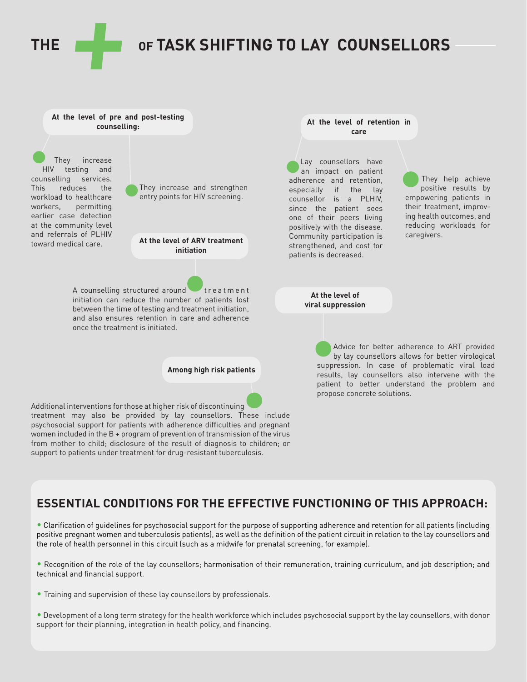**THE+OF TASK SHIFTING TO LAY COUNSELLORS**

Lay counsellors have an impact on patient adherence and retention, especially if the lay counsellor is a PLHIV, since the patient sees one of their peers living positively with the disease. Community participation is strengthened, and cost for patients is decreased.

**At the level of retention in care**

**At the level of viral suppression**

### **At the level of pre and post-testing counselling:**

They increase HIV testing and counselling services. This reduces the workload to healthcare workers, permitting earlier case detection at the community level and referrals of PLHIV toward medical care.



**At the level of ARV treatment initiation**

A counselling structured around treatment initiation can reduce the number of patients lost between the time of testing and treatment initiation, and also ensures retention in care and adherence once the treatment is initiated.

**Among high risk patients**

Additional interventions for those at higher risk of discontinuing treatment may also be provided by lay counsellors. These include psychosocial support for patients with adherence difficulties and pregnant women included in the B + program of prevention of transmission of the virus from mother to child; disclosure of the result of diagnosis to children; or support to patients under treatment for drug-resistant tuberculosis.

empowering patients in their treatment, improving health outcomes, and reducing workloads for caregivers.

They help achieve positive results by

Advice for better adherence to ART provided by lay counsellors allows for better virological suppression. In case of problematic viral load results, lay counsellors also intervene with the patient to better understand the problem and propose concrete solutions.

### **ESSENTIAL CONDITIONS FOR THE EFFECTIVE FUNCTIONING OF THIS APPROACH:**

• Clarification of guidelines for psychosocial support for the purpose of supporting adherence and retention for all patients (including positive pregnant women and tuberculosis patients), as well as the definition of the patient circuit in relation to the lay counsellors and the role of health personnel in this circuit (such as a midwife for prenatal screening, for example).

• Recognition of the role of the lay counsellors; harmonisation of their remuneration, training curriculum, and job description; and technical and financial support.

- Training and supervision of these lay counsellors by professionals.
- Development of a long term strategy for the health workforce which includes psychosocial support by the lay counsellors, with donor support for their planning, integration in health policy, and financing.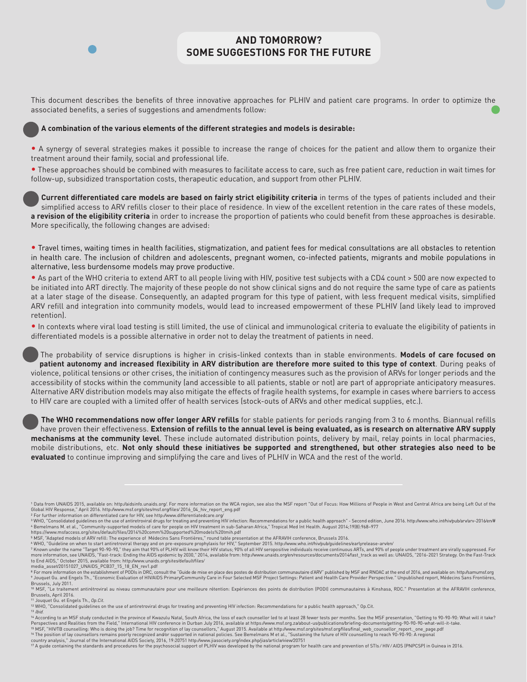

### **AND TOMORROW? SOME SUGGESTIONS FOR THE FUTURE**

This document describes the benefits of three innovative approaches for PLHIV and patient care programs. In order to optimize the associated benefits, a series of suggestions and amendments follow:

### **A combination of the various elements of the different strategies and models is desirable:**

• A synergy of several strategies makes it possible to increase the range of choices for the patient and allow them to organize their treatment around their family, social and professional life.

• These approaches should be combined with measures to facilitate access to care, such as free patient care, reduction in wait times for follow-up, subsidized transportation costs, therapeutic education, and support from other PLHIV.

Current differentiated care models are based on fairly strict eligibility criteria in terms of the types of patients included and their simplified access to ARV refills closer to their place of residence. In view of the excellent retention in the care rates of these models, **a revision of the eligibility criteria** in order to increase the proportion of patients who could benefit from these approaches is desirable. More specifically, the following changes are advised:

• Travel times, waiting times in health facilities, stigmatization, and patient fees for medical consultations are all obstacles to retention in health care. The inclusion of children and adolescents, pregnant women, co-infected patients, migrants and mobile populations in alternative, less burdensome models may prove productive.

• As part of the WHO criteria to extend ART to all people living with HIV, positive test subjects with a CD4 count > 500 are now expected to be initiated into ART directly. The majority of these people do not show clinical signs and do not require the same type of care as patients at a later stage of the disease. Consequently, an adapted program for this type of patient, with less frequent medical visits, simplified ARV refill and integration into community models, would lead to increased empowerment of these PLHIV (and likely lead to improved retention).

• In contexts where viral load testing is still limited, the use of clinical and immunological criteria to evaluate the eligibility of patients in differentiated models is a possible alternative in order not to delay the treatment of patients in need.

The probability of service disruptions is higher in crisis-linked contexts than in stable environments. **Models of care focused on patient autonomy and increased flexibility in ARV distribution are therefore more suited to this type of context**. During peaks of violence, political tensions or other crises, the initiation of contingency measures such as the provision of ARVs for longer periods and the accessibility of stocks within the community (and accessible to all patients, stable or not) are part of appropriate anticipatory measures. Alternative ARV distribution models may also mitigate the effects of fragile health systems, for example in cases where barriers to access to HIV care are coupled with a limited offer of health services (stock-outs of ARVs and other medical supplies, etc.).

**The WHO recommendations now offer longer ARV refills** for stable patients for periods ranging from 3 to 6 months. Biannual refills have proven their effectiveness. **Extension of refills to the annual level is being evaluated, as is research on alternative ARV supply mechanisms at the community level**. These include automated distribution points, delivery by mail, relay points in local pharmacies, mobile distributions, etc. **Not only should these initiatives be supported and strengthened, but other strategies also need to be evaluated** to continue improving and simplifying the care and lives of PLHIV in WCA and the rest of the world.

11 Jouquet Gu. et Engels Th., *Op.Cit.*

14 According to an MSF study conducted in the province of Kwazulu Natal, South Africa, the loss of each counsellor led to at least 28 fewer tests per months. See the MSF presentation, "Getting to 90-90-90: What will it take? Perspectives and Realities from the Field," International HIV conference in Durban July 2016, available at https://www.msf.org.za/about-us/publications/briefing-documents/getting-90-90-90-what-will-it-take.

15 MSF, "HIV/TB counselling: Who is doing the job? Time for recognition of lay counsellors," August 2015. Available at http://www.msf.org/sites/msf.org/files/final\_web\_counsellor\_report.\_one\_page.pdf<br>16 The position of lay

<sup>1</sup> Data from UNAIDS 2015, available on: http://aidsinfo.unaids.org/. For more information on the WCA region, see also the MSF report "Out of Focus: How Millions of People in West and Central Africa are being Left Out of the Global HIV Response," April 2016. http://www.msf.org/sites/msf.org/files/ 2016\_04\_hiv\_report\_eng.pdf

<sup>2</sup> For further information on differentiated care for HIV, see http://www.differentiatedcare.org/

<sup>°</sup> WHO, "Consolidated guidelines on the use of antiretroviral drugs for treating and preventing HIV infection: Recommendations for a public health approach" - Second edition, June 2016. http://www.who.int/hiv/pub/arv/arv-2

<sup>§</sup> MSF, "Adapted models of ARV refill: The experience of Médecins Sans Frontières," round table presentation at the AFRAVIH conference, Brussels 2016.<br>\* WHO, "Guideline on when to start antiretroviral therapy and on pre–e to End AIDS," October 2015, available from: http://www.unaids.org/sites/default/files/ media\_asset/20151027\_UNAIDS\_PCB37\_15\_18\_EN\_rev1.pdf

<sup>&</sup>lt;sup>8</sup> For more information on the establishment of PODIs in DRC, consult the "Guide de mise en place des postes de distribution communautaire d'ARV" published by MSF and RNOAC at the end of 2016, and available on: http://sam 9 Jouquet Gu. and Engels Th., "Economic Evaluation of HIV/AIDS Primary/Community Care in Four Selected MSF Project Settings: Patient and Health Care Provider Perspective." Unpublished report, Médecins Sans Frontières,

Brussels, July 2011.<br><sup>10</sup> MSF, "Le traitement antirétroviral au niveau communautaire pour une meilleure rétention: Expériences des points de distribution (PODI) communautaires à Kinshasa, RDC." Presentation at the AFRAVIH Brussels, April 2016.

<sup>&</sup>lt;sup>12</sup> WHO, "Consolidated guidelines on the use of antiretroviral drugs for treating and preventing HIV infection: Recommendations for a public health approach," Op.Cit.<br><sup>13</sup> *Ibid.*